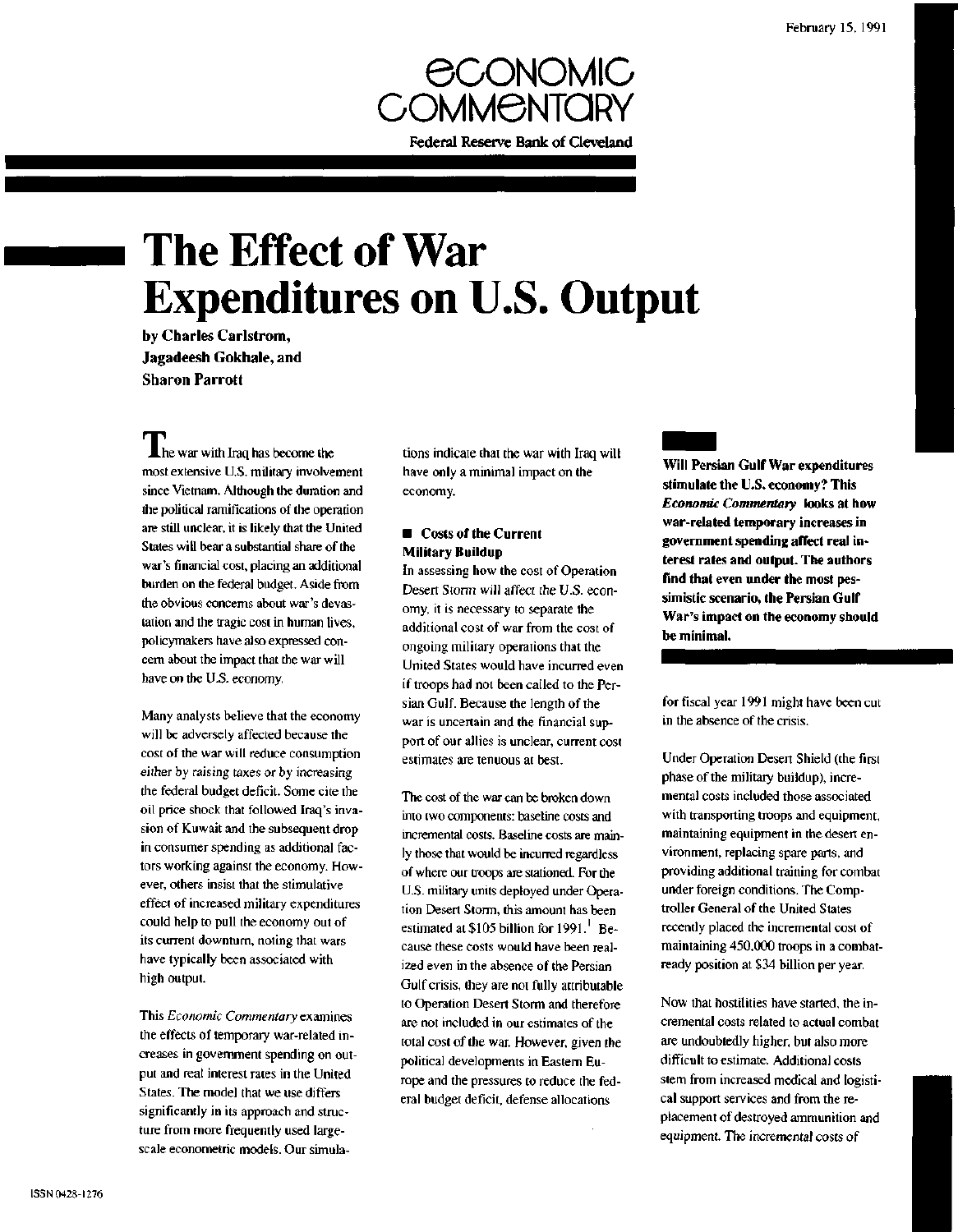

# **The Effect of War Expenditures on U.S. Output**

by Charles Carlstrom, Jagadeesh Gokhale, and Sharon Parrott

 $\prod$  he war with Iraq has become the most extensive U.S. military involvement since Vietnam. Although the duration and the political ramifications of the operation are still unclear, it is likely that the United States will bear a substantial share of the war's financial cost, placing an additional burden on the federal budget. Aside from the obvious concerns about war's devastation and the tragic cost in human lives, policymakers have also expressed concern about the impact that the war will have on the U.S. economy.

Many analysts believe that the economy will be adversely affected because the cost of the war will reduce consumption either by raising taxes or by increasing the federal budget deficit. Some cite the oil price shock that followed Iraq's invasion of Kuwait and the subsequent drop in consumer spending as additional factors working against the economy. However, others insist that the stimulative effect of increased military expenditures could help to pull the economy out of its current downturn, noting that wars have typically been associated with high output.

This *Economic Commentary* examines the effects of temporary war-related increases in government spending on output and real interest rates in the United States. The model that we use differs significantly in its approach and structure from more frequently used largescale econometric models. Our simulations indicate that the war with Iraq will have only a minimal impact on the economy.

### $\blacksquare$  Costs of the Current **Military Buildup**

In assessing how the cost of Operation Desert Storm will affect the U.S. economy, it is necessary to separate the additional cost of war from the cost of ongoing military operations that the United States would have incurred even if troops had not been called to the Persian Gulf. Because the length of the war is uncertain and the financial support of our allies is unclear, current cost estimates are tenuous at best.

The cost of the war can be broken down into two components: baseline costs and incremental costs. Baseline costs are mainly those that would be incurred regardless of where our troops are stationed. For the U.S. military units deployed under Operation Desert Storm, this amount has been estimated at  $$105$  billion for  $1991$ .<sup>1</sup> Because these costs would have been realized even in the absence of the Persian Gulf crisis, they are not fully attributable to Operation Desert Storm and therefore are not included in our estimates of the total cost of the war. However, given the political developments in Eastern Europe and the pressures to reduce the federal budget deficit, defense allocations

**Will Persian Gulf War expenditures stimulate the U.S. economy? This** *Economic Commentary* **looks at how war-related temporary increases in government spending affect real interest rates and output. The authors find that even under the most pessimistic scenario, the Persian Gulf War's impact on the economy should be minimal.**

for fiscal year 1991 might have been cut in the absence of the crisis.

Under Operation Desert Shield (the first phase of the military buildup), incremental costs included those associated with transporting troops and equipment, maintaining equipment in the desert environment, replacing spare parts, and providing additional training for combat under foreign conditions. The Comptroller General of the United States recently placed the incremental cost of maintaining 450,000 troops in a combatready position at \$34 billion per year.

Now that hostilities have started, the incremental costs related to actual combat are undoubtedly higher, but also more difficult to estimate. Additional costs stem from increased medical and logistical support services and from the replacement of destroyed ammunition and equipment. The incremental costs of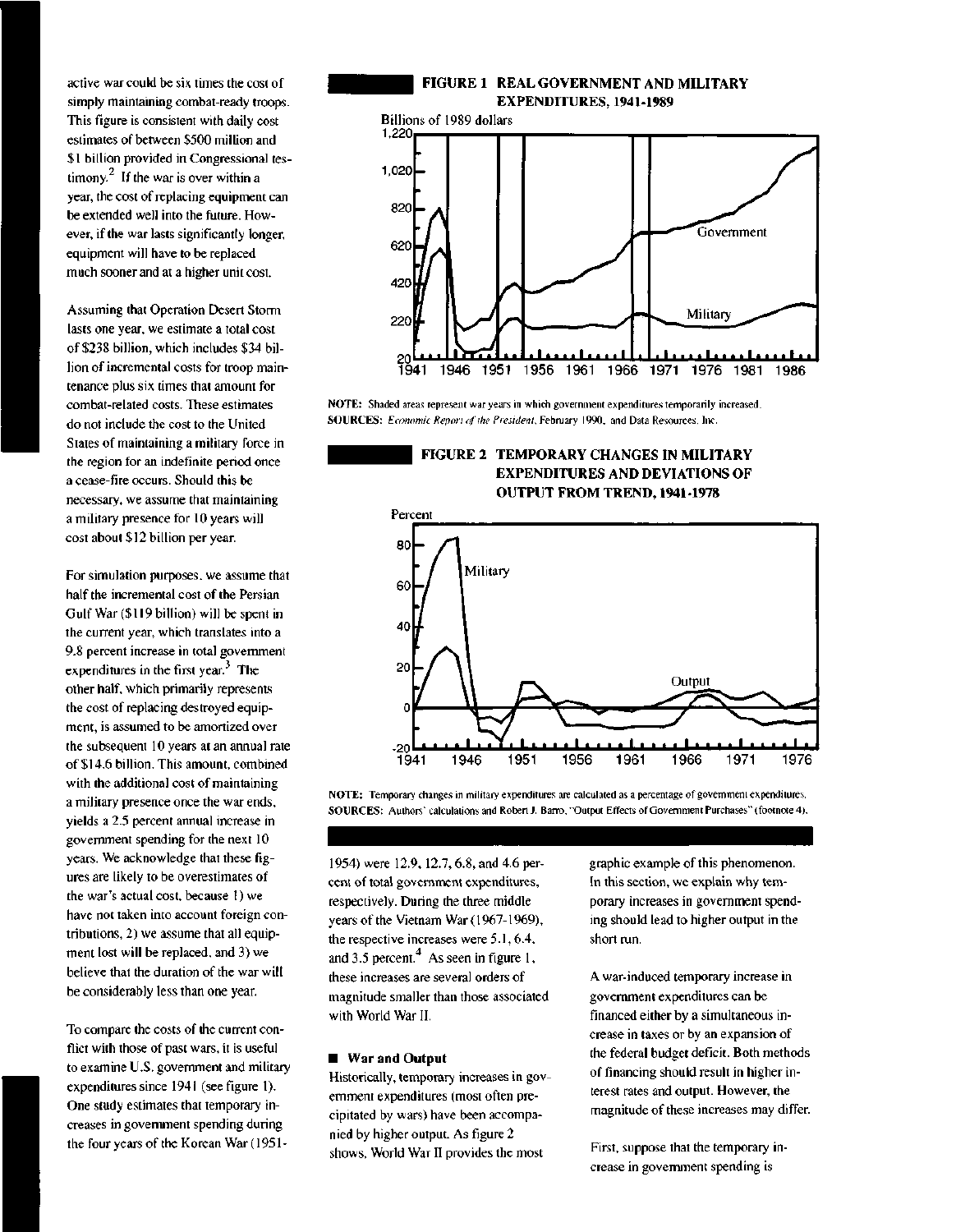active war could be six times the cost of simply maintaining combat-ready troops. This figure is consistent with daily cost estimates of between \$500 million and \$1 billion provided in Congressional testimony.<sup>2</sup> If the war is over within a year, the cost of replacing equipment can be extended well into the future. However, if the war lasts significantly longer, equipment will have to be replaced much sooner and at a higher unit cost.

Assuming that Operation Desert Storm lasts one year, we estimate a total cost of \$238 billion, which includes \$34 billion of incremental costs for troop maintenance plus six times that amount for combat-related costs. These estimates do not include the cost to the United States of maintaining a military force in the region for an indefinite period once a cease-fire occurs. Should this be necessary, we assume that maintaining a military presence for 10 years will cost about \$12 billion per year.

For simulation purposes, we assume that half the incremental cost of the Persian Gulf War (\$119 billion) will be spent in the current year, which translates into a 9.8 percent increase in total government expenditures in the first year. $3$  The other half, which primarily represents the cost of replacing destroyed equipment, is assumed to be amortized over the subsequent 10 years at an annual rate of \$14.6 billion. This amount, combined with the additional cost of maintaining a military presence once the war ends, yields a 2.5 percent annual increase in government spending for the next 10 years. We acknowledge that these figures are likely to be overestimates of the war's actual cost, because 1) we have not taken into account foreign contributions, 2) we assume that all equipment lost will be replaced, and 3) we believe that the duration of the war will be considerably less than one year.

To compare the costs of the current conflict with those of past wars, it is useful to examine U.S. government and military expenditures since 1941 (see figure 1). One study estimates that temporary increases in government spending during the four years of the Korean War **(1951-**

## **FIGURE 1 REAL GOVERNMENT AND MILITARY EXPENDITURES, 1941-1989**



**NOTE:** Shaded areas represent war years in which government expenditures temporarily increased. **SOURCES:** *Economic Report of the President,* February 1990, and Data Resources, Inc.

### **FIGURE 2 TEMPORARY CHANGES IN MILITARY EXPENDITURES AND DEVIATIONS OF OUTPUT FROM TREND, 1941-1978**



**NOTE:** Temporary changes in military expenditures are calculated as a percentage of government expenditures. **SOURCES:** Authors' calculations and Robert J. Barro, "Output Effects of Government Purchases" (footnote 4).

1954) were 12.9, 12.7, 6.8, and 4.6 percent of total government expenditures, respectively. During the three middle years of the Vietnam War (1967-1969), the respective increases were 5.1, 6.4, and 3.5 percent. $4$  As seen in figure 1, these increases are several orders of magnitude smaller than those associated with World War II.

#### **• War and Output**

Historically, temporary increases in government expenditures (most often precipitated by wars) have been accompanied by higher output. As figure 2 shows, World War II provides the most

graphic example of this phenomenon. In this section, we explain why temporary increases in government spending should lead to higher output in the short run.

A war-induced temporary increase in government expenditures can be financed either by a simultaneous increase in taxes or by an expansion of the federal budget deficit. Both methods of financing should result in higher interest rates and output. However, the magnitude of these increases may differ.

First, suppose that the temporary increase in government spending is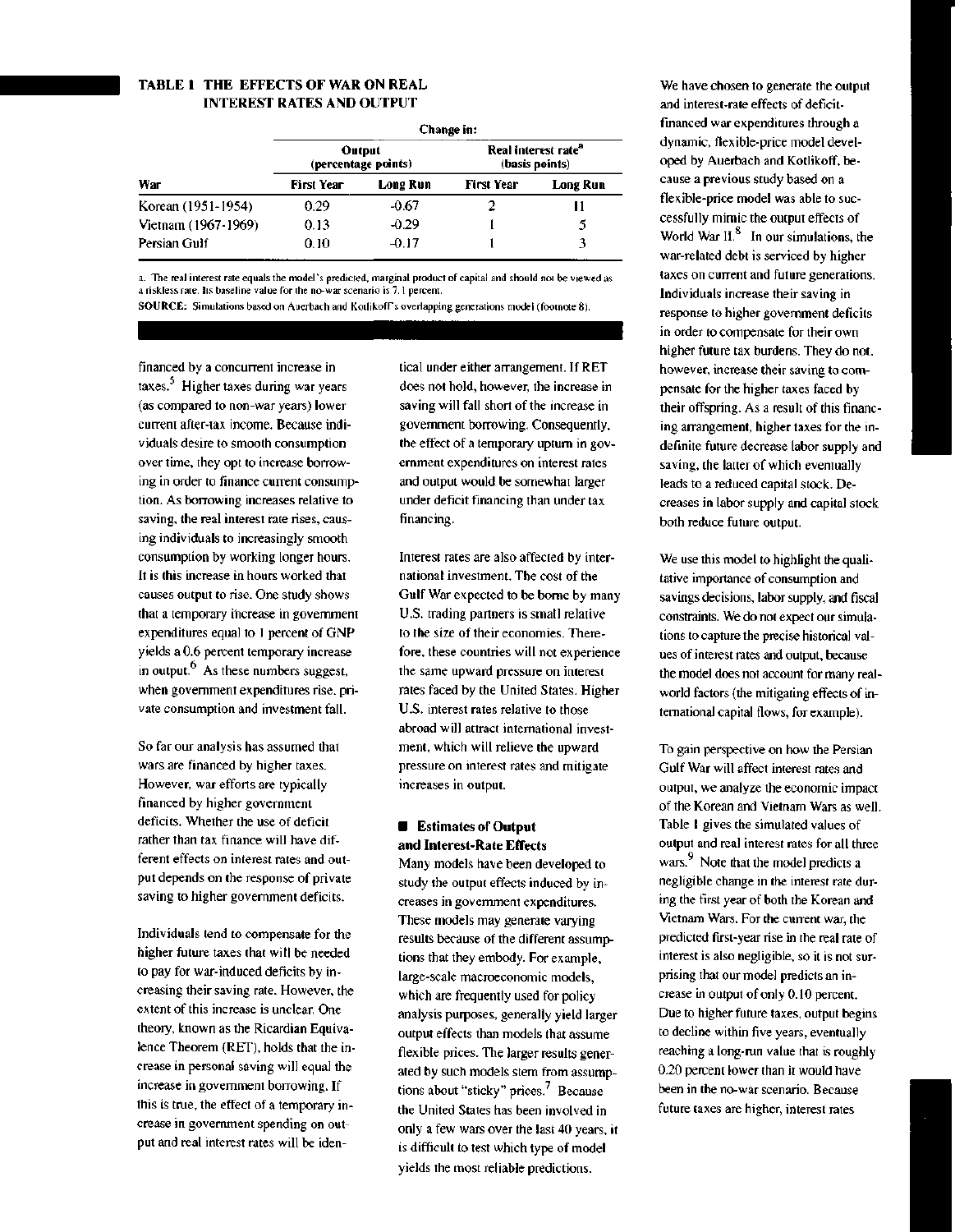### **TABLE 1 THE EFFECTS OF WAR ON REAL INTEREST RATES AND OUTPUT**

| War                 | Change in:                    |          |                                                   |          |
|---------------------|-------------------------------|----------|---------------------------------------------------|----------|
|                     | Output<br>(percentage points) |          | Real interest rate <sup>"</sup><br>(basis points) |          |
|                     | <b>First Year</b>             | Long Run | First Year                                        | Long Run |
| Korean (1951-1954)  | 0.29                          | $-0.67$  |                                                   | Н        |
| Vietnam (1967-1969) | 0.13                          | $-0.29$  |                                                   |          |
| Persian Gulf        | 0.10                          | $-0.17$  |                                                   |          |

a. The real interest rate equals the model's predicted, marginal product of capital and should not be viewed as a riskless rate. Its baseline value for the no-war scenario is 7.1 percent.

SOURCE: Simulations based on Auerbach and Kotlikofrs overlapping generations model (footnote 8).

financed by a concurrent increase in taxes.<sup>5</sup> Higher taxes during war years (as compared to non-war years) lower current after-tax income. Because individuals desire to smooth consumption over time, they opt to increase borrowing in order to finance current consumption. As borrowing increases relative to saving, the real interest rate rises, causing individuals to increasingly smooth consumption by working longer hours. It is this increase in hours worked that causes output to rise. One study shows that a temporary increase in government expenditures equal to 1 percent of GNP yields a 0.6 percent temporary increase in output. $<sup>6</sup>$  As these numbers suggest,</sup> when government expenditures rise, private consumption and investment fall.

So far our analysis has assumed that wars are financed by higher taxes. However, war efforts are typically financed by higher government deficits. Whether the use of deficit rather than tax finance will have different effects on interest rates and output depends on the response of private saving to higher government deficits.

Individuals tend to compensate for the higher future taxes that will be needed to pay for war-induced deficits by increasing their saving rate. However, the extent of this increase is unclear. One theory, known as the Ricardian Equivalence Theorem (RET), holds that the increase in personal saving will equal the increase in government borrowing. If this is true, the effect of a temporary increase in government spending on output and real interest rates will be identical under either arrangement. If RET does not hold, however, the increase in saving will fall short of the increase in government borrowing. Consequently, the effect of a temporary upturn in government expenditures on interest rates and output would be somewhat larger under deficit financing than under tax financing.

Interest rates are also affected by international investment. The cost of the Gulf War expected to be borne by many U.S. trading partners is small relative to the size of their economies. Therefore, these countries will not experience the same upward pressure on interest rates faced by the United States. Higher U.S. interest rates relative to those abroad will attract international investment, which will relieve the upward pressure on interest rates and mitigate increases in output.

#### **• Estimates of Output and Interest-Rate Effects**

Many models have been developed to study the output effects induced by increases in government expenditures. These models may generate varying results because of the different assumptions that they embody. For example, large-scale macroeconomic models, which are frequently used for policy analysis purposes, generally yield larger output effects than models that assume flexible prices. The larger results generated by such models stem from assumptions about "sticky" prices. $\frac{7}{1}$  Because the United States has been involved in only a few wars over the last 40 years, it is difficult to test which type of model yields the most reliable predictions.

We have chosen to generate the output and interest-rate effects of deficitfinanced war expenditures through a dynamic, flexible-price model developed by Auerbach and Kotlikoff, because a previous study based on a flexible-price model was able to successfully mimic the output effects of World War II. $<sup>8</sup>$  In our simulations, the</sup> war-related debt is serviced by higher taxes on current and future generations. Individuals increase their saving in response to higher government deficits in order to compensate for their own higher future tax burdens. They do not, however, increase their saving to compensate for the higher taxes faced by their offspring. As a result of this financing arrangement, higher taxes for the indefinite future decrease labor supply and saving, the latter of which eventually leads to a reduced capital stock. Decreases in labor supply and capital stock both reduce future output.

We use this model to highlight the qualitative importance of consumption and savings decisions, labor supply, and fiscal constraints. We do not expect our simulations to capture the precise historical values of interest rates and output, because the model does not account for many realworld factors (the mitigating effects of international capital flows, for example).

To gain perspective on how the Persian Gulf War will affect interest rates and output, we analyze the economic impact of the Korean and Vietnam Wars as well. Table 1 gives the simulated values of output and real interest rates for all three wars.<sup>9</sup> Note that the model predicts a negligible change in the interest rate during the first year of both the Korean and Vietnam Wars. For the current war, the predicted first-year rise in the real rate of interest is also negligible, so it is not surprising that our model predicts an increase in output of only 0.10 percent. Due to higher future taxes, output begins to decline within five years, eventually reaching a long-run value that is roughly 0.20 percent lower than it would have been in the no-war scenario. Because future taxes are higher, interest rates